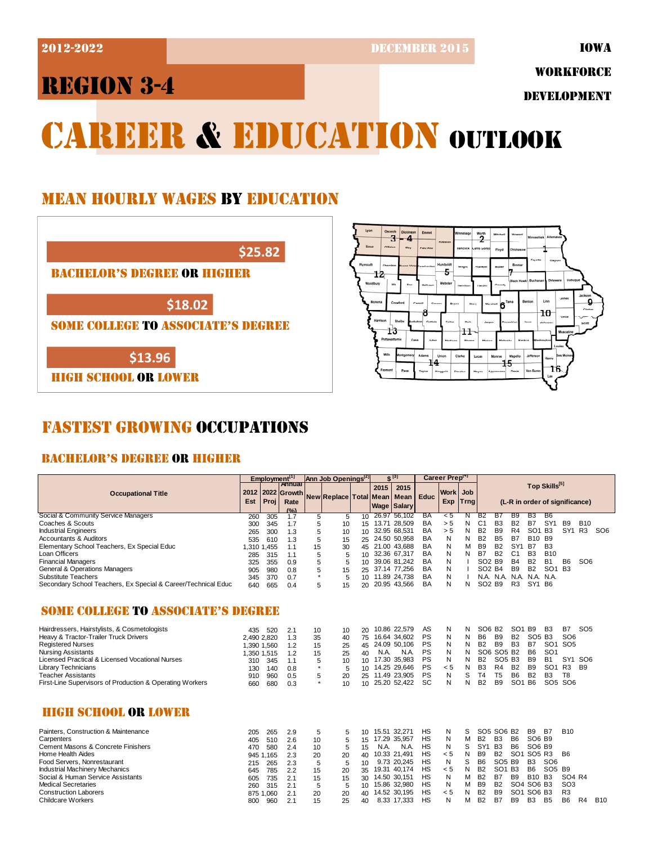**2012-2022** DECEMBER 2015

 $\frac{1}{3}$  Dickinson

12

13

Emme

 $\overline{5}$ 

יייייי

.<br>Polk

 $\overline{11}$ 

P,

.<br>15

# REGION 3-4

WORKFORCE

DEVELOPMENT

Line

 $10$ 

# CAREER & EDUCATION OUTLOOK

## MEAN HOURLY WAGES BY EDUCATION



HIGH SCHOOL OR LOWER

# FASTEST GROWING OCCUPATIONS

### BACHELOR'S DEGREE OR HIGHER

|                                                               |             | Employment <sup>[1]</sup> |            |         | Ann Job Openings <sup>[2]</sup> |                  |                                                                            | $C^{[3]}$       |             | Career Preptry |     |                                |                                |                 |                                |                                |                                 |                 |                 |
|---------------------------------------------------------------|-------------|---------------------------|------------|---------|---------------------------------|------------------|----------------------------------------------------------------------------|-----------------|-------------|----------------|-----|--------------------------------|--------------------------------|-----------------|--------------------------------|--------------------------------|---------------------------------|-----------------|-----------------|
|                                                               |             |                           | Annual     |         |                                 |                  | 2015                                                                       | 2015            |             |                |     |                                |                                |                 |                                | Top Skills[5]                  |                                 |                 |                 |
| <b>Occupational Title</b>                                     | 2012        | 2022                      | Growth     |         | New Replace Total Mean          |                  |                                                                            | Mean            | <b>Educ</b> | Workl          | Job |                                |                                |                 |                                |                                |                                 |                 |                 |
|                                                               | Est         | Proj                      | Rate       |         |                                 |                  | Exp<br><b>Trng</b><br>(L-R in order of significance)<br><b>Wage Salary</b> |                 |             |                |     |                                |                                |                 |                                |                                |                                 |                 |                 |
| Social & Community Service Managers                           |             |                           | (°)        |         |                                 |                  |                                                                            | 26.97 56,102    | <b>BA</b>   | $\leq 5$       | N   | B2                             | B7                             | B9              | B <sub>3</sub>                 | <b>B</b> 6                     |                                 |                 |                 |
| Coaches & Scouts                                              | 260         | 305                       | 1.7        | 5       | 5                               | 10               |                                                                            | 15 13.71 28,509 | BA          | > 5            | N   | C <sub>1</sub>                 | <b>B3</b>                      | <b>B2</b>       | <b>B7</b>                      | SY <sub>1</sub>                | <b>B9</b>                       | <b>B10</b>      |                 |
| <b>Industrial Engineers</b>                                   | 300         | 345<br>300                | 1.7<br>1.3 | 5       | 10                              | 10 <sup>1</sup>  |                                                                            | 32.95 68.531    | BA          | > 5            | N   | <b>B2</b>                      | <b>B9</b>                      | R4              | SO <sub>1</sub>                | B <sub>3</sub>                 | SY <sub>1</sub>                 | R <sub>3</sub>  | SO <sub>6</sub> |
| <b>Accountants &amp; Auditors</b>                             | 265<br>535  | 610                       | 1.3        | 5<br>5  | 10                              | 25               |                                                                            | 24.50 50,958    | BA          | N              | N   | <b>B2</b>                      | <b>B5</b>                      | <b>B7</b>       | <b>B10</b>                     | <b>B</b> 9                     |                                 |                 |                 |
| Elementary School Teachers, Ex Special Educ                   | 1,310 1,455 |                           | 1.1        | 15      | 15<br>30                        |                  |                                                                            | 45 21.00 43,688 | BA          | N              | M   | <b>B9</b>                      | <b>B2</b>                      | SY <sub>1</sub> | B7                             | B <sub>3</sub>                 |                                 |                 |                 |
| Loan Officers                                                 | 285         | 315                       | 1.1        | 5       | 5                               |                  |                                                                            | 10 32.36 67,317 | BA          | N              | N   | <b>B7</b>                      | <b>B2</b>                      | C <sub>1</sub>  | B <sub>3</sub>                 | <b>B10</b>                     |                                 |                 |                 |
| <b>Financial Managers</b>                                     | 325         | 355                       | 0.9        | 5       | 5                               | 10 <sup>1</sup>  |                                                                            | 39.06 81.242    | BA          | N              |     | SO <sub>2</sub> B <sub>9</sub> |                                | <b>B4</b>       | <b>B2</b>                      | <b>B1</b>                      | B <sub>6</sub>                  | SO <sub>6</sub> |                 |
| General & Operations Managers                                 | 905         | 980                       | 0.8        | 5       | 15                              | 25               |                                                                            | 37.14 77,256    | BA          | N              |     | SO <sub>2</sub> B <sub>4</sub> |                                | <b>B9</b>       | <b>B2</b>                      | SO <sub>1</sub> B <sub>3</sub> |                                 |                 |                 |
| <b>Substitute Teachers</b>                                    | 345         | 370                       | 0.7        | $\star$ | 5                               |                  |                                                                            | 10 11.89 24,738 | BA          | N              |     |                                |                                |                 | N.A. N.A. N.A. N.A. N.A.       |                                |                                 |                 |                 |
| Secondary School Teachers, Ex Special & Career/Technical Educ | 640         | 665                       | 0.4        | 5       | 15                              | 20               |                                                                            | 20.95 43,566    | BA          | N              | N   | SO <sub>2</sub> B <sub>9</sub> |                                | R <sub>3</sub>  | SY1 B6                         |                                |                                 |                 |                 |
|                                                               |             |                           |            |         |                                 |                  |                                                                            |                 |             |                |     |                                |                                |                 |                                |                                |                                 |                 |                 |
| <b>SOME COLLEGE TO ASSOCIATE'S DEGREE</b>                     |             |                           |            |         |                                 |                  |                                                                            |                 |             |                |     |                                |                                |                 |                                |                                |                                 |                 |                 |
|                                                               |             |                           |            |         |                                 |                  |                                                                            |                 |             |                |     |                                |                                |                 |                                |                                |                                 |                 |                 |
| Hairdressers, Hairstylists, & Cosmetologists                  | 435         | 520                       | 2.1        | 10      | 10                              | 20               |                                                                            | 10.86 22.579    | AS          | N              | N   | SO <sub>6</sub> B <sub>2</sub> |                                | SO <sub>1</sub> | <b>B9</b>                      | B <sub>3</sub>                 | <b>B7</b>                       | SO <sub>5</sub> |                 |
| Heavy & Tractor-Trailer Truck Drivers                         | 2,490 2,820 |                           | 1.3        | 35      | 40                              | 75               |                                                                            | 16.64 34,602    | PS          | N              | N   | B <sub>6</sub>                 | B <sub>9</sub>                 | <b>B2</b>       | SO <sub>5</sub> B <sub>3</sub> |                                | SO <sub>6</sub>                 |                 |                 |
| <b>Registered Nurses</b>                                      | 1.390 1.560 |                           | 1.2        | 15      | 25                              | 45               |                                                                            | 24.09 50.106    | PS          | N              | N   | <b>B2</b>                      | <b>B9</b>                      | B <sub>3</sub>  | <b>B7</b>                      |                                | SO <sub>1</sub> SO <sub>5</sub> |                 |                 |
| <b>Nursing Assistants</b>                                     | 1,350 1,515 |                           | 1.2        | 15      | 25                              | 40               | N.A.                                                                       | N.A.            | PS          | N              | N   |                                | SO6 SO5 B2                     |                 | <b>B6</b>                      | SO <sub>1</sub>                |                                 |                 |                 |
| Licensed Practical & Licensed Vocational Nurses               | 310         | 345                       | 1.1        | 5       | 10                              |                  |                                                                            | 10 17.30 35,983 | PS          | N              | N   | <b>B2</b>                      | SO <sub>5</sub> B <sub>3</sub> |                 | B <sub>9</sub>                 | <b>B1</b>                      | SY <sub>1</sub>                 | SO <sub>6</sub> |                 |
| <b>Library Technicians</b>                                    | 130         | 140                       | 0.8        | $\star$ | 5                               | 10               |                                                                            | 14.25 29,646    | PS          | < 5            | N   | B <sub>3</sub>                 | R4                             | <b>B2</b>       | <b>B9</b>                      | SO <sub>1</sub>                | R <sub>3</sub>                  | <b>B9</b>       |                 |
| <b>Teacher Assistants</b>                                     | 910         | 960                       | 0.5        | 5       | 20                              | 25               |                                                                            | 11.49 23.905    | PS          | N              | S   | T <sub>4</sub>                 | T <sub>5</sub>                 | B <sub>6</sub>  | <b>B2</b>                      | B <sub>3</sub>                 | T <sub>8</sub>                  |                 |                 |
| First-Line Supervisors of Production & Operating Workers      | 660         | 680                       | 0.3        | $\star$ | 10                              |                  |                                                                            | 10 25.20 52,422 | <b>SC</b>   | N              | N   | <b>B2</b>                      | <b>B9</b>                      | SO <sub>1</sub> | B <sub>6</sub>                 |                                | SO <sub>5</sub> SO <sub>6</sub> |                 |                 |
|                                                               |             |                           |            |         |                                 |                  |                                                                            |                 |             |                |     |                                |                                |                 |                                |                                |                                 |                 |                 |
| <b>HIGH SCHOOL OR LOWER</b>                                   |             |                           |            |         |                                 |                  |                                                                            |                 |             |                |     |                                |                                |                 |                                |                                |                                 |                 |                 |
| Painters, Construction & Maintenance                          | 205         | 265                       | 2.9        | 5       | 5                               | 10 <sup>10</sup> |                                                                            | 15.51 32.271    | <b>HS</b>   | N              | S   |                                | SO5 SO6 B2                     |                 | <b>B</b> 9                     | B7                             | <b>B10</b>                      |                 |                 |
| Carpenters                                                    | 405         | 510                       | 2.6        | 10      | 5                               | 15               |                                                                            | 17.29 35,957    | <b>HS</b>   | N              | М   | <b>B2</b>                      | B <sub>3</sub>                 | B <sub>6</sub>  | SO6 B9                         |                                |                                 |                 |                 |
| Cement Masons & Concrete Finishers                            | 470         | 580                       | 2.4        | 10      | 5                               | 15               | N.A.                                                                       | N.A.            | <b>HS</b>   | N              | S   | SY <sub>1</sub>                | B <sub>3</sub>                 | B <sub>6</sub>  | SO6 B9                         |                                |                                 |                 |                 |
| Home Health Aides                                             |             | 945 1.165                 | 2.3        | 20      | 20                              | 40               |                                                                            | 10.33 21.491    | <b>HS</b>   | < 5            | N   | B <sub>9</sub>                 | <b>B2</b>                      | SO <sub>1</sub> | SO <sub>5</sub> R <sub>3</sub> |                                | <b>B6</b>                       |                 |                 |
| Food Servers, Nonrestaurant                                   | 215         | 265                       | 2.3        | 5       | 5                               | 10               |                                                                            | 9.73 20,245     | <b>HS</b>   | N              | S   | <b>B6</b>                      | SO <sub>5</sub> B <sub>9</sub> |                 | B <sub>3</sub>                 | SO <sub>6</sub>                |                                 |                 |                 |
| <b>Industrial Machinery Mechanics</b>                         | 645         | 785                       | 2.2        | 15      | 20                              | 35               |                                                                            | 19.31 40,174    | <b>HS</b>   | < 5            | N   | <b>B2</b>                      | SO <sub>1</sub> B <sub>3</sub> |                 | <b>B6</b>                      | SO <sub>5</sub> B <sub>9</sub> |                                 |                 |                 |
| Social & Human Service Assistants                             | 605         | 735                       | 2.1        | 15      | 15                              | 30               |                                                                            | 14.50 30,151    | <b>HS</b>   | N              | M   | <b>B2</b>                      | B7                             | <b>B9</b>       | B <sub>10</sub> B <sub>3</sub> |                                | SO4 R4                          |                 |                 |
| <b>Medical Secretaries</b>                                    | 260         | 315                       | 2.1        | 5       | 5                               | 10 <sup>10</sup> |                                                                            | 15.86 32.980    | <b>HS</b>   | N              | М   | B <sub>9</sub>                 | <b>B2</b>                      |                 | SO4 SO6 B3                     |                                | SO <sub>3</sub>                 |                 |                 |
| <b>Construction Laborers</b>                                  |             | 875 1.060                 | 2.1        | 20      | 20                              | 40               |                                                                            | 14.52 30,195    | <b>HS</b>   | < 5            | N   | <b>B2</b>                      | B <sub>9</sub>                 |                 | SO1 SO6 B3                     |                                | R <sub>3</sub>                  |                 |                 |
| Childcare Workers                                             | 800         | 960                       | 2.1        | 15      | 25                              | 40               |                                                                            | 8.33 17.333     | <b>HS</b>   | N              | М   | B <sub>2</sub>                 | B7                             | B <sub>9</sub>  | B <sub>3</sub>                 | B <sub>5</sub>                 | B <sub>6</sub>                  | R <sub>4</sub>  | <b>B10</b>      |